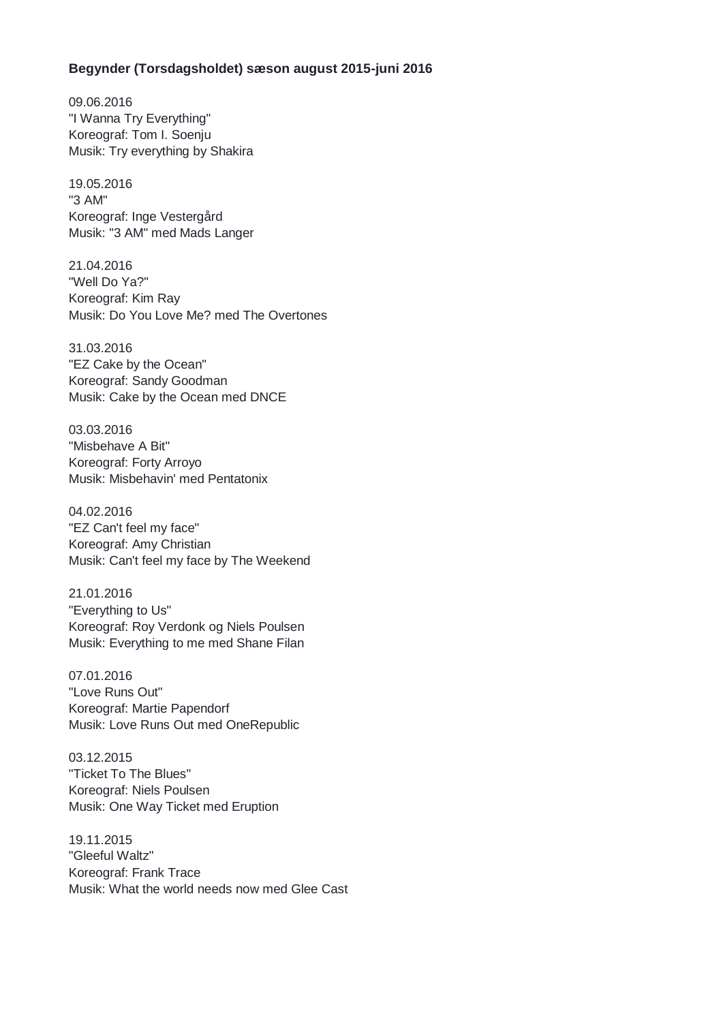## **Begynder (Torsdagsholdet) sæson august 2015-juni 2016**

09.06.2016 "I Wanna Try Everything" Koreograf: Tom I. Soenju Musik: Try everything by Shakira

19.05.2016 "3 AM" Koreograf: Inge Vestergård Musik: "3 AM" med Mads Langer

21.04.2016 "Well Do Ya?" Koreograf: Kim Ray Musik: Do You Love Me? med The Overtones

31.03.2016 "EZ Cake by the Ocean" Koreograf: Sandy Goodman Musik: Cake by the Ocean med DNCE

03.03.2016 "Misbehave A Bit" Koreograf: Forty Arroyo Musik: Misbehavin' med Pentatonix

04.02.2016 "EZ Can't feel my face" Koreograf: Amy Christian Musik: Can't feel my face by The Weekend

21.01.2016 "Everything to Us" Koreograf: Roy Verdonk og Niels Poulsen Musik: Everything to me med Shane Filan

07.01.2016 "Love Runs Out" Koreograf: Martie Papendorf Musik: Love Runs Out med OneRepublic

03.12.2015 "Ticket To The Blues" Koreograf: Niels Poulsen Musik: One Way Ticket med Eruption

19.11.2015 "Gleeful Waltz" Koreograf: Frank Trace Musik: What the world needs now med Glee Cast